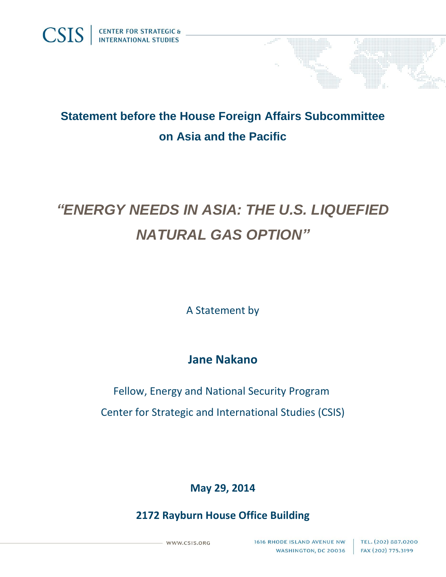

# *"ENERGY NEEDS IN ASIA: THE U.S. LIQUEFIED NATURAL GAS OPTION"*

A Statement by

## **Jane Nakano**

Fellow, Energy and National Security Program Center for Strategic and International Studies (CSIS)

## **May 29, 2014**

### **2172 Rayburn House Office Building**

WWW.CSIS.ORG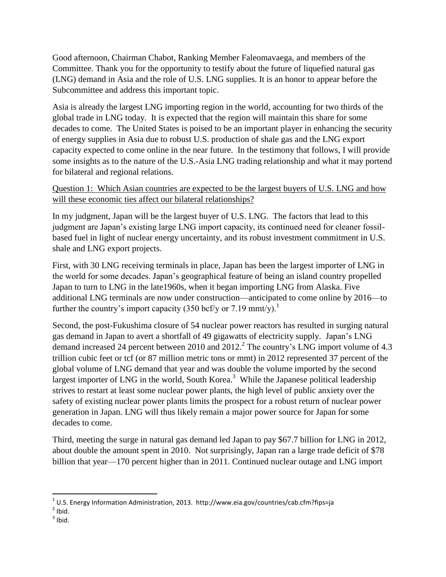Good afternoon, Chairman Chabot, Ranking Member Faleomavaega, and members of the Committee. Thank you for the opportunity to testify about the future of liquefied natural gas (LNG) demand in Asia and the role of U.S. LNG supplies. It is an honor to appear before the Subcommittee and address this important topic.

Asia is already the largest LNG importing region in the world, accounting for two thirds of the global trade in LNG today. It is expected that the region will maintain this share for some decades to come. The United States is poised to be an important player in enhancing the security of energy supplies in Asia due to robust U.S. production of shale gas and the LNG export capacity expected to come online in the near future. In the testimony that follows, I will provide some insights as to the nature of the U.S.-Asia LNG trading relationship and what it may portend for bilateral and regional relations.

#### Question 1: Which Asian countries are expected to be the largest buyers of U.S. LNG and how will these economic ties affect our bilateral relationships?

In my judgment, Japan will be the largest buyer of U.S. LNG. The factors that lead to this judgment are Japan's existing large LNG import capacity, its continued need for cleaner fossilbased fuel in light of nuclear energy uncertainty, and its robust investment commitment in U.S. shale and LNG export projects.

First, with 30 LNG receiving terminals in place, Japan has been the largest importer of LNG in the world for some decades. Japan's geographical feature of being an island country propelled Japan to turn to LNG in the late1960s, when it began importing LNG from Alaska. Five additional LNG terminals are now under construction—anticipated to come online by 2016—to further the country's import capacity (350 bcf/y or 7.19 mmt/y).<sup>1</sup>

Second, the post-Fukushima closure of 54 nuclear power reactors has resulted in surging natural gas demand in Japan to avert a shortfall of 49 gigawatts of electricity supply. Japan's LNG demand increased 24 percent between 2010 and 2012.<sup>2</sup> The country's LNG import volume of 4.3 trillion cubic feet or tcf (or 87 million metric tons or mmt) in 2012 represented 37 percent of the global volume of LNG demand that year and was double the volume imported by the second largest importer of LNG in the world, South Korea.<sup>3</sup> While the Japanese political leadership strives to restart at least some nuclear power plants, the high level of public anxiety over the safety of existing nuclear power plants limits the prospect for a robust return of nuclear power generation in Japan. LNG will thus likely remain a major power source for Japan for some decades to come.

Third, meeting the surge in natural gas demand led Japan to pay \$67.7 billion for LNG in 2012, about double the amount spent in 2010. Not surprisingly, Japan ran a large trade deficit of \$78 billion that year—170 percent higher than in 2011. Continued nuclear outage and LNG import

 $\overline{\phantom{a}}$ 

 $^{1}$  U.S. Energy Information Administration, 2013. http://www.eia.gov/countries/cab.cfm?fips=ja

 $2$  Ibid.

 $3$  Ibid.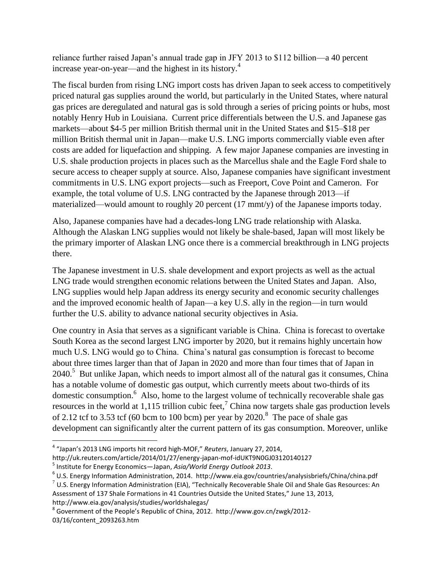reliance further raised Japan's annual trade gap in JFY 2013 to \$112 billion—a 40 percent increase year-on-year—and the highest in its history. $4$ 

The fiscal burden from rising LNG import costs has driven Japan to seek access to competitively priced natural gas supplies around the world, but particularly in the United States, where natural gas prices are deregulated and natural gas is sold through a series of pricing points or hubs, most notably Henry Hub in Louisiana. Current price differentials between the U.S. and Japanese gas markets—about \$4-5 per million British thermal unit in the United States and \$15–\$18 per million British thermal unit in Japan—make U.S. LNG imports commercially viable even after costs are added for liquefaction and shipping. A few major Japanese companies are investing in U.S. shale production projects in places such as the Marcellus shale and the Eagle Ford shale to secure access to cheaper supply at source. Also, Japanese companies have significant investment commitments in U.S. LNG export projects—such as Freeport, Cove Point and Cameron. For example, the total volume of U.S. LNG contracted by the Japanese through 2013—if materialized—would amount to roughly 20 percent (17 mmt/y) of the Japanese imports today.

Also, Japanese companies have had a decades-long LNG trade relationship with Alaska. Although the Alaskan LNG supplies would not likely be shale-based, Japan will most likely be the primary importer of Alaskan LNG once there is a commercial breakthrough in LNG projects there.

The Japanese investment in U.S. shale development and export projects as well as the actual LNG trade would strengthen economic relations between the United States and Japan. Also, LNG supplies would help Japan address its energy security and economic security challenges and the improved economic health of Japan—a key U.S. ally in the region—in turn would further the U.S. ability to advance national security objectives in Asia.

One country in Asia that serves as a significant variable is China. China is forecast to overtake South Korea as the second largest LNG importer by 2020, but it remains highly uncertain how much U.S. LNG would go to China. China's natural gas consumption is forecast to become about three times larger than that of Japan in 2020 and more than four times that of Japan in  $2040$ .<sup>5</sup> But unlike Japan, which needs to import almost all of the natural gas it consumes, China has a notable volume of domestic gas output, which currently meets about two-thirds of its domestic consumption.<sup>6</sup> Also, home to the largest volume of technically recoverable shale gas resources in the world at 1,115 trillion cubic feet,<sup>7</sup> China now targets shale gas production levels of 2.12 tcf to 3.53 tcf (60 bcm to 100 bcm) per year by  $2020$ .<sup>8</sup> The pace of shale gas development can significantly alter the current pattern of its gas consumption. Moreover, unlike

 $\overline{\phantom{a}}$ 4 "Japan's 2013 LNG imports hit record high-MOF," *Reuters*, January 27, 2014,

<http://uk.reuters.com/article/2014/01/27/energy-japan-mof-idUKT9N0GJ03120140127>

<sup>5</sup> Institute for Energy Economics—Japan, *Asia/World Energy Outlook 2013*.

<sup>6</sup> U.S. Energy Information Administration, 2014. http://www.eia.gov/countries/analysisbriefs/China/china.pdf

<sup>7</sup> U.S. Energy Information Administration (EIA), "Technically Recoverable Shale Oil and Shale Gas Resources: An Assessment of 137 Shale Formations in 41 Countries Outside the United States," June 13, 2013, <http://www.eia.gov/analysis/studies/worldshalegas/>

 $^8$  Government of the People's Republic of China, 2012. http://www.gov.cn/zwgk/2012-03/16/content\_2093263.htm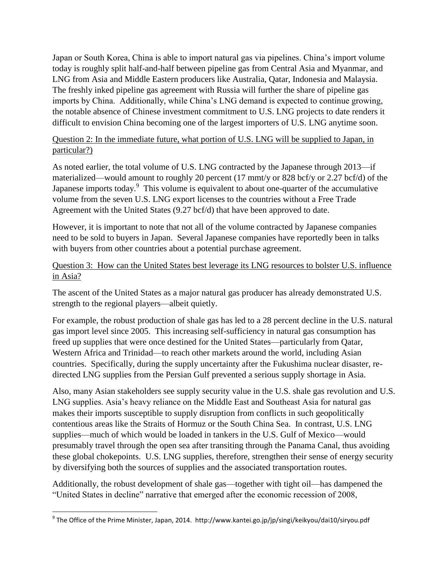Japan or South Korea, China is able to import natural gas via pipelines. China's import volume today is roughly split half-and-half between pipeline gas from Central Asia and Myanmar, and LNG from Asia and Middle Eastern producers like Australia, Qatar, Indonesia and Malaysia. The freshly inked pipeline gas agreement with Russia will further the share of pipeline gas imports by China. Additionally, while China's LNG demand is expected to continue growing, the notable absence of Chinese investment commitment to U.S. LNG projects to date renders it difficult to envision China becoming one of the largest importers of U.S. LNG anytime soon.

#### Question 2: In the immediate future, what portion of U.S. LNG will be supplied to Japan, in particular?)

As noted earlier, the total volume of U.S. LNG contracted by the Japanese through 2013—if materialized—would amount to roughly 20 percent (17 mmt/y or 828 bcf/y or 2.27 bcf/d) of the Japanese imports today. $9$  This volume is equivalent to about one-quarter of the accumulative volume from the seven U.S. LNG export licenses to the countries without a Free Trade Agreement with the United States (9.27 bcf/d) that have been approved to date.

However, it is important to note that not all of the volume contracted by Japanese companies need to be sold to buyers in Japan. Several Japanese companies have reportedly been in talks with buyers from other countries about a potential purchase agreement.

#### Question 3: How can the United States best leverage its LNG resources to bolster U.S. influence in Asia?

The ascent of the United States as a major natural gas producer has already demonstrated U.S. strength to the regional players—albeit quietly.

For example, the robust production of shale gas has led to a 28 percent decline in the U.S. natural gas import level since 2005. This increasing self-sufficiency in natural gas consumption has freed up supplies that were once destined for the United States—particularly from Qatar, Western Africa and Trinidad—to reach other markets around the world, including Asian countries. Specifically, during the supply uncertainty after the Fukushima nuclear disaster, redirected LNG supplies from the Persian Gulf prevented a serious supply shortage in Asia.

Also, many Asian stakeholders see supply security value in the U.S. shale gas revolution and U.S. LNG supplies. Asia's heavy reliance on the Middle East and Southeast Asia for natural gas makes their imports susceptible to supply disruption from conflicts in such geopolitically contentious areas like the Straits of Hormuz or the South China Sea. In contrast, U.S. LNG supplies—much of which would be loaded in tankers in the U.S. Gulf of Mexico—would presumably travel through the open sea after transiting through the Panama Canal, thus avoiding these global chokepoints. U.S. LNG supplies, therefore, strengthen their sense of energy security by diversifying both the sources of supplies and the associated transportation routes.

Additionally, the robust development of shale gas—together with tight oil—has dampened the "United States in decline" narrative that emerged after the economic recession of 2008,

 9 The Office of the Prime Minister, Japan, 2014. http://www.kantei.go.jp/jp/singi/keikyou/dai10/siryou.pdf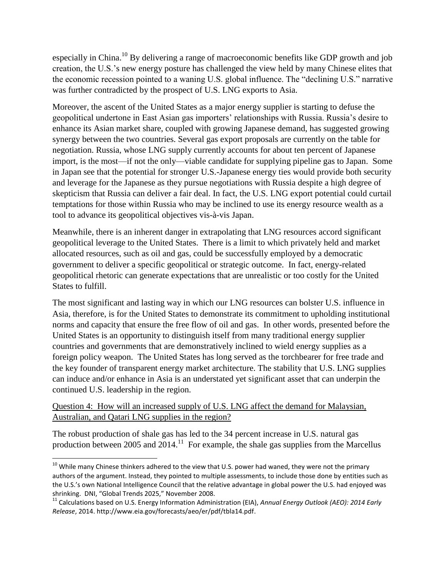especially in China.<sup>10</sup> By delivering a range of macroeconomic benefits like GDP growth and job creation, the U.S.'s new energy posture has challenged the view held by many Chinese elites that the economic recession pointed to a waning U.S. global influence. The "declining U.S." narrative was further contradicted by the prospect of U.S. LNG exports to Asia.

Moreover, the ascent of the United States as a major energy supplier is starting to defuse the geopolitical undertone in East Asian gas importers' relationships with Russia. Russia's desire to enhance its Asian market share, coupled with growing Japanese demand, has suggested growing synergy between the two countries. Several gas export proposals are currently on the table for negotiation. Russia, whose LNG supply currently accounts for about ten percent of Japanese import, is the most—if not the only—viable candidate for supplying pipeline gas to Japan. Some in Japan see that the potential for stronger U.S.-Japanese energy ties would provide both security and leverage for the Japanese as they pursue negotiations with Russia despite a high degree of skepticism that Russia can deliver a fair deal. In fact, the U.S. LNG export potential could curtail temptations for those within Russia who may be inclined to use its energy resource wealth as a tool to advance its geopolitical objectives vis-à-vis Japan.

Meanwhile, there is an inherent danger in extrapolating that LNG resources accord significant geopolitical leverage to the United States. There is a limit to which privately held and market allocated resources, such as oil and gas, could be successfully employed by a democratic government to deliver a specific geopolitical or strategic outcome. In fact, energy-related geopolitical rhetoric can generate expectations that are unrealistic or too costly for the United States to fulfill.

The most significant and lasting way in which our LNG resources can bolster U.S. influence in Asia, therefore, is for the United States to demonstrate its commitment to upholding institutional norms and capacity that ensure the free flow of oil and gas. In other words, presented before the United States is an opportunity to distinguish itself from many traditional energy supplier countries and governments that are demonstratively inclined to wield energy supplies as a foreign policy weapon. The United States has long served as the torchbearer for free trade and the key founder of transparent energy market architecture. The stability that U.S. LNG supplies can induce and/or enhance in Asia is an understated yet significant asset that can underpin the continued U.S. leadership in the region.

#### Question 4: How will an increased supply of U.S. LNG affect the demand for Malaysian, Australian, and Qatari LNG supplies in the region?

 $\overline{\phantom{a}}$ 

The robust production of shale gas has led to the 34 percent increase in U.S. natural gas production between 2005 and  $2014$ <sup>11</sup> For example, the shale gas supplies from the Marcellus

 $^{10}$  While many Chinese thinkers adhered to the view that U.S. power had waned, they were not the primary authors of the argument. Instead, they pointed to multiple assessments, to include those done by entities such as the U.S.'s own National Intelligence Council that the relative advantage in global power the U.S. had enjoyed was shrinking. DNI, "Global Trends 2025," November 2008.

<sup>11</sup> Calculations based on U.S. Energy Information Administration (EIA), *Annual Energy Outlook (AEO): 2014 Early Release*, 2014. [http://www.eia.gov/forecasts/aeo/er/pdf/tbla14.pdf.](http://www.eia.gov/forecasts/aeo/er/pdf/tbla14.pdf)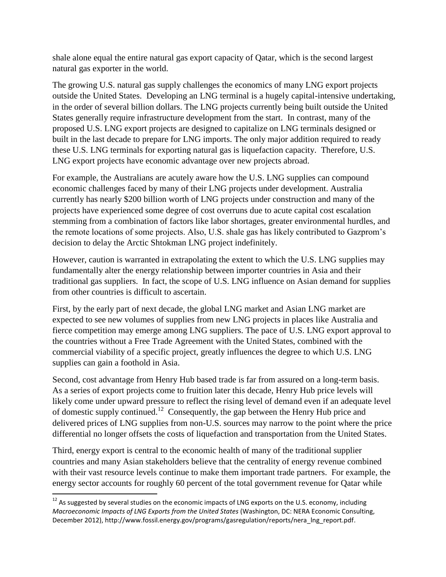shale alone equal the entire natural gas export capacity of Qatar, which is the second largest natural gas exporter in the world.

The growing U.S. natural gas supply challenges the economics of many LNG export projects outside the United States. Developing an LNG terminal is a hugely capital-intensive undertaking, in the order of several billion dollars. The LNG projects currently being built outside the United States generally require infrastructure development from the start. In contrast, many of the proposed U.S. LNG export projects are designed to capitalize on LNG terminals designed or built in the last decade to prepare for LNG imports. The only major addition required to ready these U.S. LNG terminals for exporting natural gas is liquefaction capacity. Therefore, U.S. LNG export projects have economic advantage over new projects abroad.

For example, the Australians are acutely aware how the U.S. LNG supplies can compound economic challenges faced by many of their LNG projects under development. Australia currently has nearly \$200 billion worth of LNG projects under construction and many of the projects have experienced some degree of cost overruns due to acute capital cost escalation stemming from a combination of factors like labor shortages, greater environmental hurdles, and the remote locations of some projects. Also, U.S. shale gas has likely contributed to Gazprom's decision to delay the Arctic Shtokman LNG project indefinitely.

However, caution is warranted in extrapolating the extent to which the U.S. LNG supplies may fundamentally alter the energy relationship between importer countries in Asia and their traditional gas suppliers. In fact, the scope of U.S. LNG influence on Asian demand for supplies from other countries is difficult to ascertain.

First, by the early part of next decade, the global LNG market and Asian LNG market are expected to see new volumes of supplies from new LNG projects in places like Australia and fierce competition may emerge among LNG suppliers. The pace of U.S. LNG export approval to the countries without a Free Trade Agreement with the United States, combined with the commercial viability of a specific project, greatly influences the degree to which U.S. LNG supplies can gain a foothold in Asia.

Second, cost advantage from Henry Hub based trade is far from assured on a long-term basis. As a series of export projects come to fruition later this decade, Henry Hub price levels will likely come under upward pressure to reflect the rising level of demand even if an adequate level of domestic supply continued.<sup>12</sup> Consequently, the gap between the Henry Hub price and delivered prices of LNG supplies from non-U.S. sources may narrow to the point where the price differential no longer offsets the costs of liquefaction and transportation from the United States.

Third, energy export is central to the economic health of many of the traditional supplier countries and many Asian stakeholders believe that the centrality of energy revenue combined with their vast resource levels continue to make them important trade partners. For example, the energy sector accounts for roughly 60 percent of the total government revenue for Qatar while

 $\overline{\phantom{a}}$ 

 $^{12}$  As suggested by several studies on the economic impacts of LNG exports on the U.S. economy, including *Macroeconomic Impacts of LNG Exports from the United States* (Washington, DC: NERA Economic Consulting, December 2012), [http://www.fossil.energy.gov/programs/gasregulation/reports/nera\\_lng\\_report.pdf.](http://www.fossil.energy.gov/programs/gasregulation/reports/nera_lng_report.pdf)